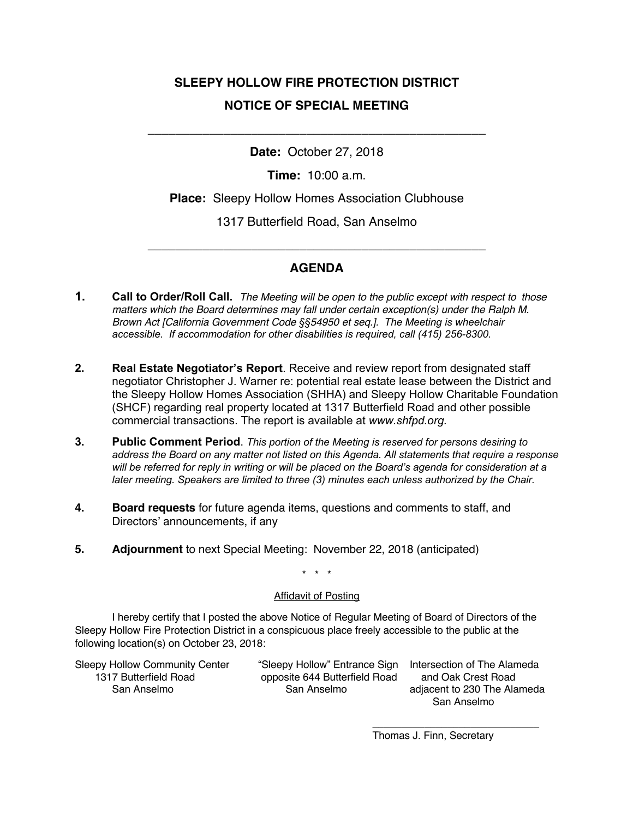## **SLEEPY HOLLOW FIRE PROTECTION DISTRICT NOTICE OF SPECIAL MEETING**

**Date:** October 27, 2018

\_\_\_\_\_\_\_\_\_\_\_\_\_\_\_\_\_\_\_\_\_\_\_\_\_\_\_\_\_\_\_\_\_\_\_\_\_\_\_\_\_\_\_\_\_\_\_\_\_

**Time:** 10:00 a.m.

**Place:** Sleepy Hollow Homes Association Clubhouse

1317 Butterfield Road, San Anselmo

## **AGENDA**

\_\_\_\_\_\_\_\_\_\_\_\_\_\_\_\_\_\_\_\_\_\_\_\_\_\_\_\_\_\_\_\_\_\_\_\_\_\_\_\_\_\_\_\_\_\_\_\_\_

- **1. Call to Order/Roll Call.** *The Meeting will be open to the public except with respect to those matters which the Board determines may fall under certain exception(s) under the Ralph M. Brown Act [California Government Code §§54950 et seq.]. The Meeting is wheelchair accessible. If accommodation for other disabilities is required, call (415) 256-8300.*
- **2. Real Estate Negotiator's Report**. Receive and review report from designated staff negotiator Christopher J. Warner re: potential real estate lease between the District and the Sleepy Hollow Homes Association (SHHA) and Sleepy Hollow Charitable Foundation (SHCF) regarding real property located at 1317 Butterfield Road and other possible commercial transactions. The report is available at *www.shfpd.org.*
- **3. Public Comment Period**. *This portion of the Meeting is reserved for persons desiring to address the Board on any matter not listed on this Agenda. All statements that require a response will be referred for reply in writing or will be placed on the Board's agenda for consideration at a later meeting. Speakers are limited to three (3) minutes each unless authorized by the Chair.*
- **4. Board requests** for future agenda items, questions and comments to staff, and Directors' announcements, if any
- **5. Adjournment** to next Special Meeting: November 22, 2018 (anticipated)

\* \* \*

## Affidavit of Posting

I hereby certify that I posted the above Notice of Regular Meeting of Board of Directors of the Sleepy Hollow Fire Protection District in a conspicuous place freely accessible to the public at the following location(s) on October 23, 2018:

Sleepy Hollow Community Center "Sleepy Hollow" Entrance Sign Intersection of The Alameda

 1317 Butterfield Road opposite 644 Butterfield Road and Oak Crest Road San Anselmo San Anselmo adjacent to 230 The Alameda

San Anselmo

\_\_\_\_\_\_\_\_\_\_\_\_\_\_\_\_\_\_\_\_\_\_\_\_\_\_\_\_\_ Thomas J. Finn, Secretary